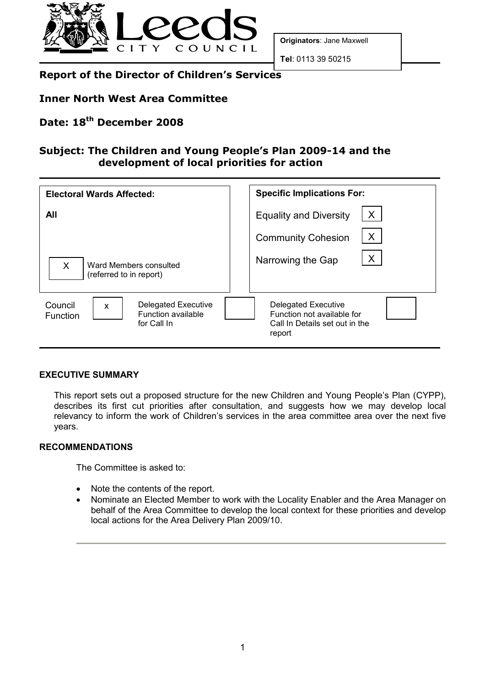

Originators: Jane Maxwell

Tel: 0113 39 50215

# Report of the Director of Children's Services

### Inner North West Area Committee

# Date: 18<sup>th</sup> December 2008

## Subject: The Children and Young People's Plan 2009-14 and the development of local priorities for action

| <b>Electoral Wards Affected:</b>                                                                                    | <b>Specific Implications For:</b>                                                                    |
|---------------------------------------------------------------------------------------------------------------------|------------------------------------------------------------------------------------------------------|
| All                                                                                                                 | X<br><b>Equality and Diversity</b>                                                                   |
|                                                                                                                     | X<br><b>Community Cohesion</b>                                                                       |
| X<br>Ward Members consulted<br>(referred to in report)                                                              | X<br>Narrowing the Gap                                                                               |
| <b>Delegated Executive</b><br>Council<br>$\boldsymbol{\mathsf{x}}$<br>Function available<br>Function<br>for Call In | <b>Delegated Executive</b><br>Function not available for<br>Call In Details set out in the<br>report |

#### EXECUTIVE SUMMARY

This report sets out a proposed structure for the new Children and Young People's Plan (CYPP), describes its first cut priorities after consultation, and suggests how we may develop local relevancy to inform the work of Children's services in the area committee area over the next five years.

#### RECOMMENDATIONS

The Committee is asked to:

- Note the contents of the report.
- Nominate an Elected Member to work with the Locality Enabler and the Area Manager on behalf of the Area Committee to develop the local context for these priorities and develop local actions for the Area Delivery Plan 2009/10.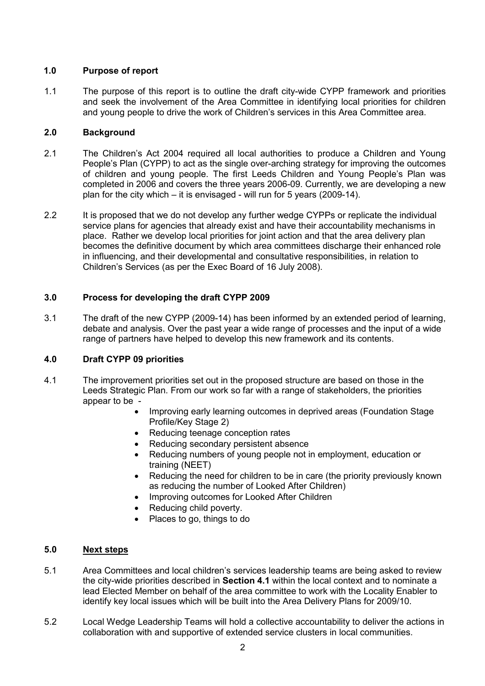#### 1.0 Purpose of report

1.1 The purpose of this report is to outline the draft city-wide CYPP framework and priorities and seek the involvement of the Area Committee in identifying local priorities for children and young people to drive the work of Children's services in this Area Committee area.

#### 2.0 Background

- 2.1 The Children's Act 2004 required all local authorities to produce a Children and Young People's Plan (CYPP) to act as the single over-arching strategy for improving the outcomes of children and young people. The first Leeds Children and Young People's Plan was completed in 2006 and covers the three years 2006-09. Currently, we are developing a new plan for the city which – it is envisaged - will run for 5 years (2009-14).
- 2.2 It is proposed that we do not develop any further wedge CYPPs or replicate the individual service plans for agencies that already exist and have their accountability mechanisms in place. Rather we develop local priorities for joint action and that the area delivery plan becomes the definitive document by which area committees discharge their enhanced role in influencing, and their developmental and consultative responsibilities, in relation to Children's Services (as per the Exec Board of 16 July 2008).

### 3.0 Process for developing the draft CYPP 2009

3.1 The draft of the new CYPP (2009-14) has been informed by an extended period of learning, debate and analysis. Over the past year a wide range of processes and the input of a wide range of partners have helped to develop this new framework and its contents.

#### 4.0 Draft CYPP 09 priorities

- 4.1 The improvement priorities set out in the proposed structure are based on those in the Leeds Strategic Plan. From our work so far with a range of stakeholders, the priorities appear to be -
	- Improving early learning outcomes in deprived areas (Foundation Stage Profile/Key Stage 2)
	- Reducing teenage conception rates
	- Reducing secondary persistent absence
	- Reducing numbers of young people not in employment, education or training (NEET)
	- Reducing the need for children to be in care (the priority previously known as reducing the number of Looked After Children)
	- Improving outcomes for Looked After Children
	- Reducing child poverty.
	- Places to go, things to do

#### 5.0 Next steps

- 5.1 Area Committees and local children's services leadership teams are being asked to review the city-wide priorities described in **Section 4.1** within the local context and to nominate a lead Elected Member on behalf of the area committee to work with the Locality Enabler to identify key local issues which will be built into the Area Delivery Plans for 2009/10.
- 5.2 Local Wedge Leadership Teams will hold a collective accountability to deliver the actions in collaboration with and supportive of extended service clusters in local communities.